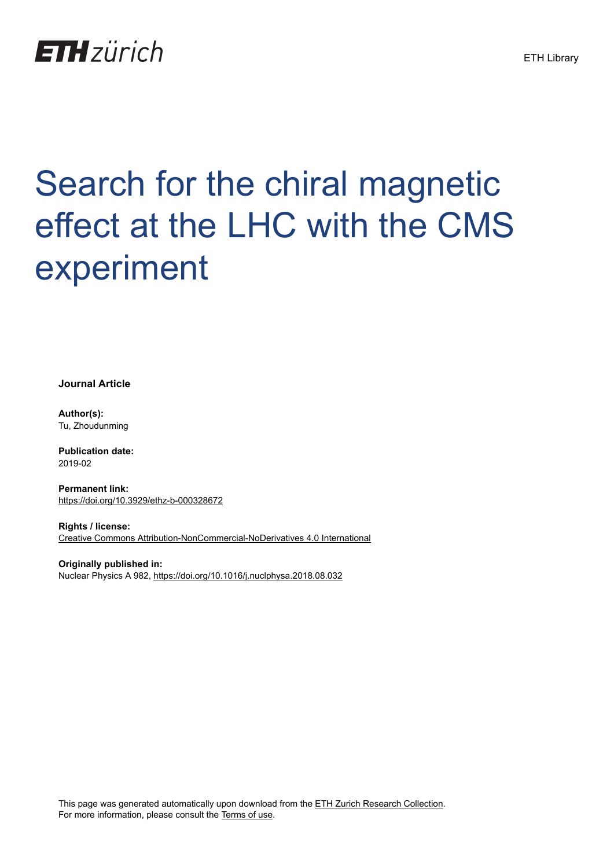

# Search for the chiral magnetic effect at the LHC with the CMS experiment

**Journal Article**

**Author(s):** Tu, Zhoudunming

**Publication date:** 2019-02

**Permanent link:** <https://doi.org/10.3929/ethz-b-000328672>

**Rights / license:** [Creative Commons Attribution-NonCommercial-NoDerivatives 4.0 International](http://creativecommons.org/licenses/by-nc-nd/4.0/)

**Originally published in:** Nuclear Physics A 982, <https://doi.org/10.1016/j.nuclphysa.2018.08.032>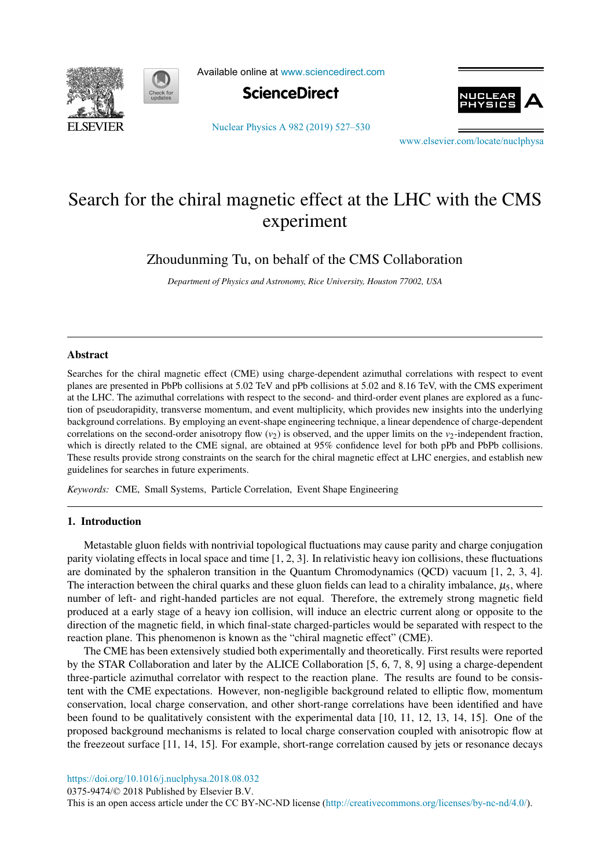



Available online at [www.sciencedirect.com](http://www.sciencedirect.com)



[Nuclear Physics A 982 \(2019\) 527–530](https://doi.org/10.1016/j.nuclphysa.2018.08.032)



[www.elsevier.com/locate/nuclphysa](http://www.elsevier.com/locate/nuclphysa)

# Search for the chiral magnetic effect at the LHC with the CMS experiment

Zhoudunming Tu, on behalf of the CMS Collaboration

*Department of Physics and Astronomy, Rice University, Houston 77002, USA*

### Abstract

Searches for the chiral magnetic effect (CME) using charge-dependent azimuthal correlations with respect to event planes are presented in PbPb collisions at 5.02 TeV and pPb collisions at 5.02 and 8.16 TeV, with the CMS experiment at the LHC. The azimuthal correlations with respect to the second- and third-order event planes are explored as a function of pseudorapidity, transverse momentum, and event multiplicity, which provides new insights into the underlying background correlations. By employing an event-shape engineering technique, a linear dependence of charge-dependent correlations on the second-order anisotropy flow  $(v_2)$  is observed, and the upper limits on the  $v_2$ -independent fraction, which is directly related to the CME signal, are obtained at 95% confidence level for both pPb and PbPb collisions. These results provide strong constraints on the search for the chiral magnetic effect at LHC energies, and establish new guidelines for searches in future experiments.

*Keywords:* CME, Small Systems, Particle Correlation, Event Shape Engineering

# 1. Introduction

Metastable gluon fields with nontrivial topological fluctuations may cause parity and charge conjugation parity violating effects in local space and time [1, 2, 3]. In relativistic heavy ion collisions, these fluctuations are dominated by the sphaleron transition in the Quantum Chromodynamics (QCD) vacuum [1, 2, 3, 4]. The interaction between the chiral quarks and these gluon fields can lead to a chirality imbalance,  $\mu_5$ , where number of left- and right-handed particles are not equal. Therefore, the extremely strong magnetic field produced at a early stage of a heavy ion collision, will induce an electric current along or opposite to the direction of the magnetic field, in which final-state charged-particles would be separated with respect to the reaction plane. This phenomenon is known as the "chiral magnetic effect" (CME).

The CME has been extensively studied both experimentally and theoretically. First results were reported by the STAR Collaboration and later by the ALICE Collaboration [5, 6, 7, 8, 9] using a charge-dependent three-particle azimuthal correlator with respect to the reaction plane. The results are found to be consistent with the CME expectations. However, non-negligible background related to elliptic flow, momentum conservation, local charge conservation, and other short-range correlations have been identified and have been found to be qualitatively consistent with the experimental data [10, 11, 12, 13, 14, 15]. One of the proposed background mechanisms is related to local charge conservation coupled with anisotropic flow at the freezeout surface [11, 14, 15]. For example, short-range correlation caused by jets or resonance decays

<https://doi.org/10.1016/j.nuclphysa.2018.08.032>

0375-9474/© 2018 Published by Elsevier B.V.

This is an open access article under the CC BY-NC-ND license [\(http://creativecommons.org/licenses/by-nc-nd/4.0/](http://creativecommons.org/licenses/by-nc-nd/4.0/)).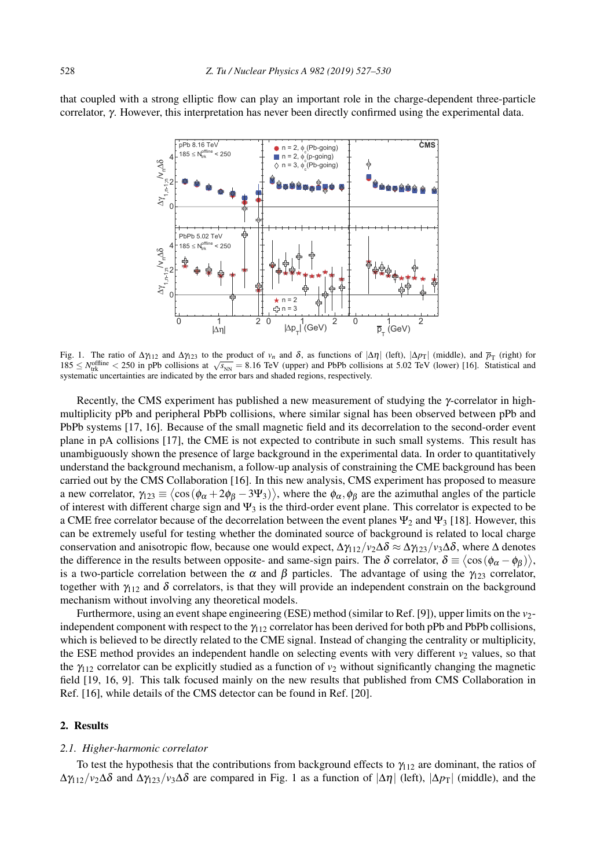that coupled with a strong elliptic flow can play an important role in the charge-dependent three-particle correlator, γ. However, this interpretation has never been directly confirmed using the experimental data.



Fig. 1. The ratio of  $\Delta \gamma_{12}$  and  $\Delta \gamma_{12}$  to the product of *v<sub>n</sub>* and δ, as functions of  $|\Delta \eta|$  (left),  $|\Delta p_T|$  (middle), and  $p_T$  (right) for  $185 \le N_{\text{trk}}^{\text{offline}} < 250$  in pPb collisions at  $\sqrt{s_{\text{NN}}} = 8.16$  TeV (upper) and PbPb collisions at 5.02 TeV (lower) [16]. Statistical and systematic uncertainties are indicated by the error bars and shaded regions, respectively.

Recently, the CMS experiment has published a new measurement of studying the γ-correlator in highmultiplicity pPb and peripheral PbPb collisions, where similar signal has been observed between pPb and PbPb systems [17, 16]. Because of the small magnetic field and its decorrelation to the second-order event plane in pA collisions [17], the CME is not expected to contribute in such small systems. This result has unambiguously shown the presence of large background in the experimental data. In order to quantitatively understand the background mechanism, a follow-up analysis of constraining the CME background has been carried out by the CMS Collaboration [16]. In this new analysis, CMS experiment has proposed to measure a new correlator,  $\gamma_{123} \equiv \langle \cos(\phi_\alpha + 2\phi_\beta - 3\Psi_3) \rangle$ , where the  $\phi_\alpha$ ,  $\phi_\beta$  are the azimuthal angles of the particle of interest with different charge sign and  $\Psi_3$  is the third-order event plane. This correlator is expected to be a CME free correlator because of the decorrelation between the event planes  $\Psi_2$  and  $\Psi_3$  [18]. However, this can be extremely useful for testing whether the dominated source of background is related to local charge conservation and anisotropic flow, because one would expect,  $\Delta \gamma_{12}/v_2 \Delta \delta \approx \Delta \gamma_{123}/v_3 \Delta \delta$ , where  $\Delta$  denotes the difference in the results between opposite- and same-sign pairs. The  $\delta$  correlator,  $\delta \equiv \langle \cos(\phi_\alpha - \phi_\beta) \rangle$ , is a two-particle correlation between the  $\alpha$  and  $\beta$  particles. The advantage of using the  $\gamma_{123}$  correlator, together with  $\gamma_{112}$  and  $\delta$  correlators, is that they will provide an independent constrain on the background mechanism without involving any theoretical models.

Furthermore, using an event shape engineering (ESE) method (similar to Ref. [9]), upper limits on the *v*<sub>2</sub>independent component with respect to the  $\gamma_{112}$  correlator has been derived for both pPb and PbPb collisions, which is believed to be directly related to the CME signal. Instead of changing the centrality or multiplicity, the ESE method provides an independent handle on selecting events with very different  $v_2$  values, so that the  $\gamma_{112}$  correlator can be explicitly studied as a function of  $v_2$  without significantly changing the magnetic field [19, 16, 9]. This talk focused mainly on the new results that published from CMS Collaboration in Ref. [16], while details of the CMS detector can be found in Ref. [20].

# 2. Results

# *2.1. Higher-harmonic correlator*

To test the hypothesis that the contributions from background effects to  $\gamma_{12}$  are dominant, the ratios of  $\Delta \gamma_{112}/\nu_2 \Delta \delta$  and  $\Delta \gamma_{123}/\nu_3 \Delta \delta$  are compared in Fig. 1 as a function of  $|\Delta \eta|$  (left),  $|\Delta p_T|$  (middle), and the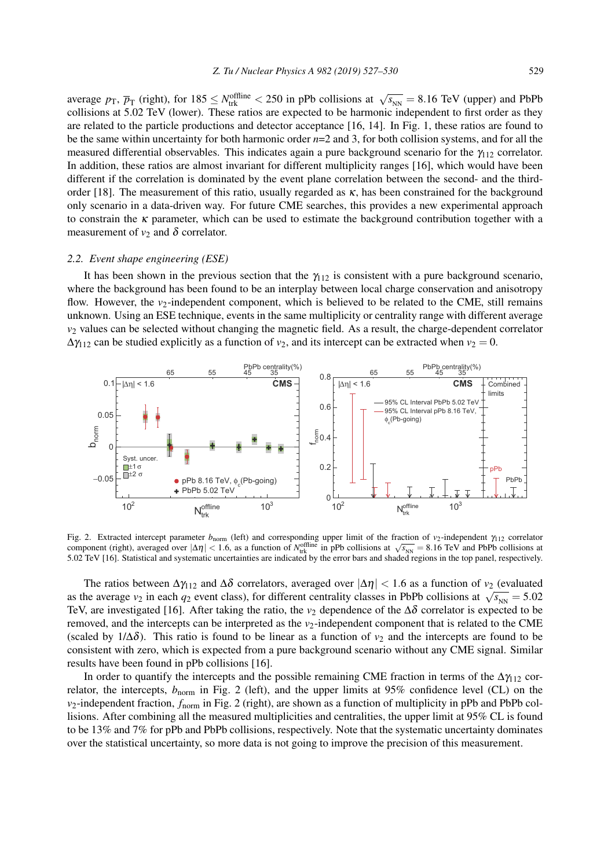average  $p_{\text{T}}$ ,  $\overline{p}_{\text{T}}$  (right), for  $185 \leq N_{\text{trk}}^{\text{offline}} < 250$  in pPb collisions at  $\sqrt{s_{\text{NN}}} = 8.16$  TeV (upper) and PbPb collisions at 5.02 TeV (lower). These ratios are expected to be harmonic independent to first order as they are related to the particle productions and detector acceptance [16, 14]. In Fig. 1, these ratios are found to be the same within uncertainty for both harmonic order *n*=2 and 3, for both collision systems, and for all the measured differential observables. This indicates again a pure background scenario for the  $\gamma_{112}$  correlator. In addition, these ratios are almost invariant for different multiplicity ranges [16], which would have been different if the correlation is dominated by the event plane correlation between the second- and the thirdorder [18]. The measurement of this ratio, usually regarded as κ, has been constrained for the background only scenario in a data-driven way. For future CME searches, this provides a new experimental approach to constrain the  $\kappa$  parameter, which can be used to estimate the background contribution together with a measurement of  $v_2$  and  $\delta$  correlator.

#### *2.2. Event shape engineering (ESE)*

It has been shown in the previous section that the  $\gamma_{112}$  is consistent with a pure background scenario, where the background has been found to be an interplay between local charge conservation and anisotropy flow. However, the *v*<sub>2</sub>-independent component, which is believed to be related to the CME, still remains unknown. Using an ESE technique, events in the same multiplicity or centrality range with different average *v*<sup>2</sup> values can be selected without changing the magnetic field. As a result, the charge-dependent correlator  $\Delta \gamma_{112}$  can be studied explicitly as a function of  $v_2$ , and its intercept can be extracted when  $v_2 = 0$ .



Fig. 2. Extracted intercept parameter *b*<sub>norm</sub> (left) and corresponding upper limit of the fraction of *v*<sub>2</sub>-independent γ<sub>112</sub> correlator component (right), averaged over  $|\Delta \eta| < 1.6$ , as a function of *N*<sub>trk</sub> in pPb collisions at  $\sqrt{s_{NN}} = 8.16$  TeV and PbPb collisions at 5.02 TeV [16]. Statistical and systematic uncertainties are indicated by the error bars and shaded regions in the top panel, respectively.

The ratios between  $\Delta \gamma_{112}$  and  $\Delta \delta$  correlators, averaged over  $|\Delta \eta| < 1.6$  as a function of  $v_2$  (evaluated as the average *v*<sub>2</sub> in each  $q_2$  event class), for different centrality classes in PbPb collisions at  $\sqrt{s_{\text{NN}}}$  = 5.02 TeV, are investigated [16]. After taking the ratio, the  $v_2$  dependence of the  $\Delta\delta$  correlator is expected to be removed, and the intercepts can be interpreted as the  $v_2$ -independent component that is related to the CME (scaled by  $1/\Delta\delta$ ). This ratio is found to be linear as a function of  $v_2$  and the intercepts are found to be consistent with zero, which is expected from a pure background scenario without any CME signal. Similar results have been found in pPb collisions [16].

In order to quantify the intercepts and the possible remaining CME fraction in terms of the  $\Delta\gamma_{112}$  correlator, the intercepts,  $b_{\text{norm}}$  in Fig. 2 (left), and the upper limits at 95% confidence level (CL) on the *v*2-independent fraction, *f*norm in Fig. 2 (right), are shown as a function of multiplicity in pPb and PbPb collisions. After combining all the measured multiplicities and centralities, the upper limit at 95% CL is found to be 13% and 7% for pPb and PbPb collisions, respectively. Note that the systematic uncertainty dominates over the statistical uncertainty, so more data is not going to improve the precision of this measurement.